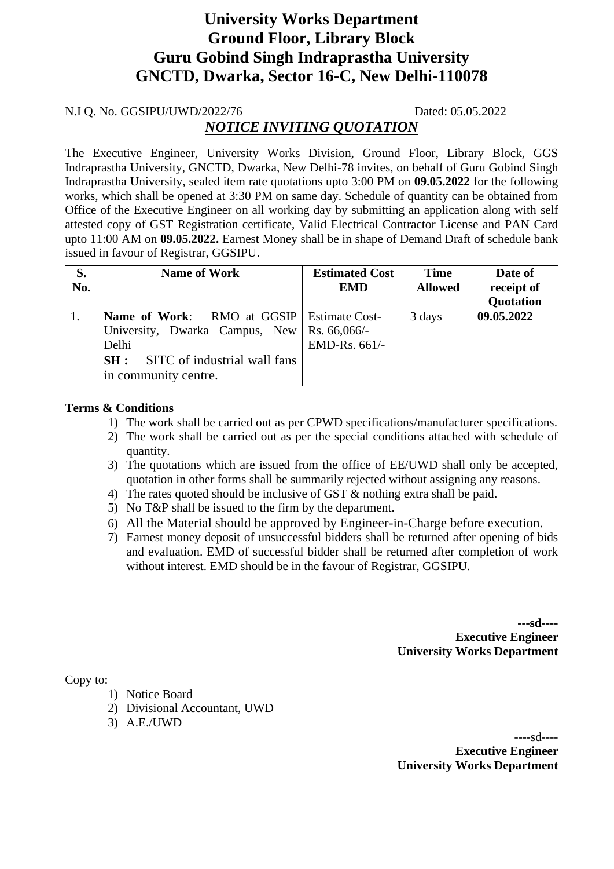# **University Works Department Ground Floor, Library Block Guru Gobind Singh Indraprastha University GNCTD, Dwarka, Sector 16-C, New Delhi-110078**

#### N.I Q. No. GGSIPU/UWD/2022/76 Dated: 05.05.2022

## *NOTICE INVITING QUOTATION*

The Executive Engineer, University Works Division, Ground Floor, Library Block, GGS Indraprastha University, GNCTD, Dwarka, New Delhi-78 invites, on behalf of Guru Gobind Singh Indraprastha University, sealed item rate quotations upto 3:00 PM on **09.05.2022** for the following works, which shall be opened at 3:30 PM on same day. Schedule of quantity can be obtained from Office of the Executive Engineer on all working day by submitting an application along with self attested copy of GST Registration certificate, Valid Electrical Contractor License and PAN Card upto 11:00 AM on **09.05.2022.** Earnest Money shall be in shape of Demand Draft of schedule bank issued in favour of Registrar, GGSIPU.

| S.<br>No. | <b>Name of Work</b>                                                                                                                                                       | <b>Estimated Cost</b><br><b>EMD</b> | <b>Time</b><br><b>Allowed</b> | Date of<br>receipt of<br><b>Quotation</b> |
|-----------|---------------------------------------------------------------------------------------------------------------------------------------------------------------------------|-------------------------------------|-------------------------------|-------------------------------------------|
| 1.        | <b>Name of Work:</b> RMO at GGSIP   Estimate Cost-<br>University, Dwarka Campus, New Rs. 66,066/-<br>Delhi<br>SITC of industrial wall fans<br>SH:<br>in community centre. | EMD-Rs. 661/-                       | 3 days                        | 09.05.2022                                |

#### **Terms & Conditions**

- 1) The work shall be carried out as per CPWD specifications/manufacturer specifications.
- 2) The work shall be carried out as per the special conditions attached with schedule of quantity.
- 3) The quotations which are issued from the office of EE/UWD shall only be accepted, quotation in other forms shall be summarily rejected without assigning any reasons.
- 4) The rates quoted should be inclusive of GST & nothing extra shall be paid.
- 5) No T&P shall be issued to the firm by the department.
- 6) All the Material should be approved by Engineer-in-Charge before execution.
- 7) Earnest money deposit of unsuccessful bidders shall be returned after opening of bids and evaluation. EMD of successful bidder shall be returned after completion of work without interest. EMD should be in the favour of Registrar, GGSIPU.

**---sd---- Executive Engineer University Works Department**

Copy to:

- 1) Notice Board
- 2) Divisional Accountant, UWD
- 3) A.E./UWD

----sd---- **Executive Engineer University Works Department**